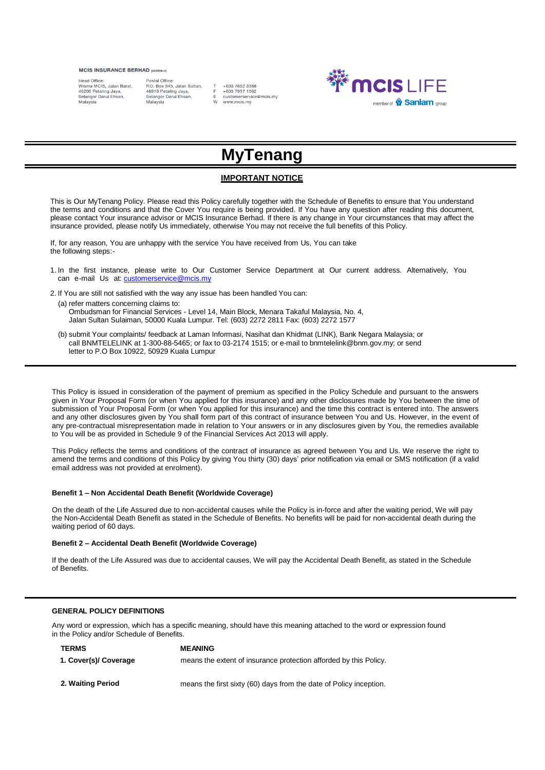Head Office:<br>Wisma MCIS, Jalan Barat, 46200 Petaling Java. Selangor Darul Ehsan Malaysia

Postal Office:<br>P.O. Box 345, Jalan Sultan,<br>46916 Petaling Jaya, Selangor Darul Ehsan, Malaysia

+603 7652 3388 +603 7957 1562 customerservice@mcis.my  $M$ www.mcis.my



# **MyTenang**

# **IMPORTANT NOTICE**

This is Our MyTenang Policy. Please read this Policy carefully together with the Schedule of Benefits to ensure that You understand the terms and conditions and that the Cover You require is being provided. If You have any question after reading this document, please contact Your insurance advisor or MCIS Insurance Berhad. If there is any change in Your circumstances that may affect the insurance provided, please notify Us immediately, otherwise You may not receive the full benefits of this Policy.

If, for any reason, You are unhappy with the service You have received from Us, You can take the following steps:-

- 1. In the first instance, please write to Our Customer Service Department at Our current address. Alternatively, You can e-mail Us at[: customerservice@mcis.my](mailto:customerservice@mcis.my)
- 2. If You are still not satisfied with the way any issue has been handled You can:

(a) refer matters concerning claims to: Ombudsman for Financial Services - Level 14, Main Block, Menara Takaful Malaysia, No. 4, Jalan Sultan Sulaiman, 50000 Kuala Lumpur. Tel: (603) 2272 2811 Fax: (603) 2272 1577

(b) submit Your complaints/ feedback at Laman Informasi, Nasihat dan Khidmat (LINK), Bank Negara Malaysia; or call BNMTELELINK at 1-300-88-5465; or fax to 03-2174 1515; or e-mail to bnmtelelink@bnm.gov.my; or send letter to P.O Box 10922, 50929 Kuala Lumpur

This Policy is issued in consideration of the payment of premium as specified in the Policy Schedule and pursuant to the answers given in Your Proposal Form (or when You applied for this insurance) and any other disclosures made by You between the time of submission of Your Proposal Form (or when You applied for this insurance) and the time this contract is entered into. The answers and any other disclosures given by You shall form part of this contract of insurance between You and Us. However, in the event of any pre-contractual misrepresentation made in relation to Your answers or in any disclosures given by You, the remedies available to You will be as provided in Schedule 9 of the Financial Services Act 2013 will apply.

This Policy reflects the terms and conditions of the contract of insurance as agreed between You and Us. We reserve the right to amend the terms and conditions of this Policy by giving You thirty (30) days' prior notification via email or SMS notification (if a valid email address was not provided at enrolment).

## **Benefit 1 – Non Accidental Death Benefit (Worldwide Coverage)**

On the death of the Life Assured due to non-accidental causes while the Policy is in-force and after the waiting period, We will pay the Non-Accidental Death Benefit as stated in the Schedule of Benefits. No benefits will be paid for non-accidental death during the waiting period of 60 days.

## **Benefit 2 – Accidental Death Benefit (Worldwide Coverage)**

If the death of the Life Assured was due to accidental causes, We will pay the Accidental Death Benefit, as stated in the Schedule of Benefits.

# **GENERAL POLICY DEFINITIONS**

Any word or expression, which has a specific meaning, should have this meaning attached to the word or expression found in the Policy and/or Schedule of Benefits.

| <b>TERMS</b>          | <b>MEANING</b>                                                     |
|-----------------------|--------------------------------------------------------------------|
| 1. Cover(s)/ Coverage | means the extent of insurance protection afforded by this Policy.  |
| 2. Waiting Period     | means the first sixty (60) days from the date of Policy inception. |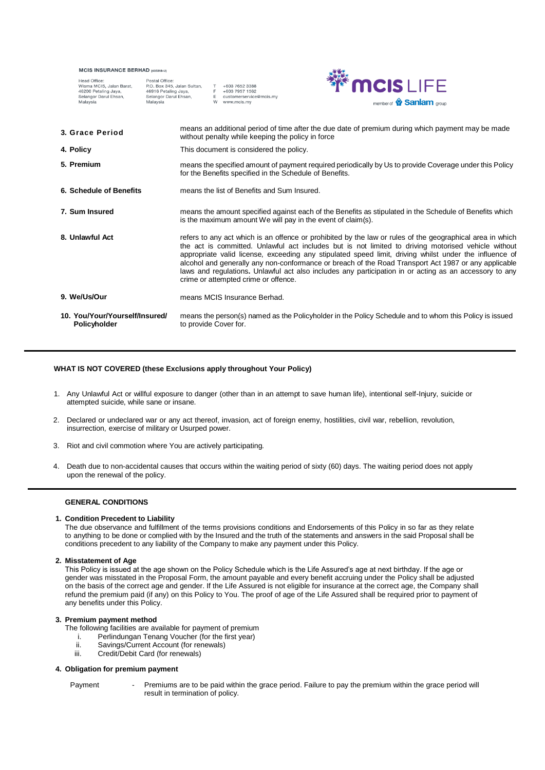Postal Office:<br>P.O. Box 345, Jalan Sultan,<br>46916 Petaling Jaya, Head Office:<br>Wisma MCIS, Jalan Barat, 46200 Petaling Java. Selangor Darul Ehsan, Selangor Darul Ehsan,<br>Malaysia Malaysia

+603 7652 3388 +603 7957 1562 customerservice@mcis.my  $M$ www.mcis.mv



| 3. Grace Period                                | means an additional period of time after the due date of premium during which payment may be made<br>without penalty while keeping the policy in force                                                                                                                                                                                                                                                                                                                                                                                                                               |
|------------------------------------------------|--------------------------------------------------------------------------------------------------------------------------------------------------------------------------------------------------------------------------------------------------------------------------------------------------------------------------------------------------------------------------------------------------------------------------------------------------------------------------------------------------------------------------------------------------------------------------------------|
| 4. Policy                                      | This document is considered the policy.                                                                                                                                                                                                                                                                                                                                                                                                                                                                                                                                              |
| 5. Premium                                     | means the specified amount of payment required periodically by Us to provide Coverage under this Policy<br>for the Benefits specified in the Schedule of Benefits.                                                                                                                                                                                                                                                                                                                                                                                                                   |
| 6. Schedule of Benefits                        | means the list of Benefits and Sum Insured.                                                                                                                                                                                                                                                                                                                                                                                                                                                                                                                                          |
| 7. Sum Insured                                 | means the amount specified against each of the Benefits as stipulated in the Schedule of Benefits which<br>is the maximum amount We will pay in the event of claim(s).                                                                                                                                                                                                                                                                                                                                                                                                               |
| 8. Unlawful Act                                | refers to any act which is an offence or prohibited by the law or rules of the geographical area in which<br>the act is committed. Unlawful act includes but is not limited to driving motorised vehicle without<br>appropriate valid license, exceeding any stipulated speed limit, driving whilst under the influence of<br>alcohol and generally any non-conformance or breach of the Road Transport Act 1987 or any applicable<br>laws and regulations. Unlawful act also includes any participation in or acting as an accessory to any<br>crime or attempted crime or offence. |
| 9. We/Us/Our                                   | means MCIS Insurance Berhad.                                                                                                                                                                                                                                                                                                                                                                                                                                                                                                                                                         |
| 10. You/Your/Yourself/Insured/<br>Policyholder | means the person(s) named as the Policyholder in the Policy Schedule and to whom this Policy is issued<br>to provide Cover for.                                                                                                                                                                                                                                                                                                                                                                                                                                                      |

## **WHAT IS NOT COVERED (these Exclusions apply throughout Your Policy)**

- 1. Any Unlawful Act or willful exposure to danger (other than in an attempt to save human life), intentional self-Injury, suicide or attempted suicide, while sane or insane.
- 2. Declared or undeclared war or any act thereof, invasion, act of foreign enemy, hostilities, civil war, rebellion, revolution, insurrection, exercise of military or Usurped power.
- 3. Riot and civil commotion where You are actively participating.
- 4. Death due to non-accidental causes that occurs within the waiting period of sixty (60) days. The waiting period does not apply upon the renewal of the policy.

# **GENERAL CONDITIONS**

# **1. Condition Precedent to Liability**

The due observance and fulfillment of the terms provisions conditions and Endorsements of this Policy in so far as they relate to anything to be done or complied with by the Insured and the truth of the statements and answers in the said Proposal shall be conditions precedent to any liability of the Company to make any payment under this Policy.

#### **2. Misstatement of Age**

This Policy is issued at the age shown on the Policy Schedule which is the Life Assured's age at next birthday. If the age or gender was misstated in the Proposal Form, the amount payable and every benefit accruing under the Policy shall be adjusted on the basis of the correct age and gender. If the Life Assured is not eligible for insurance at the correct age, the Company shall refund the premium paid (if any) on this Policy to You. The proof of age of the Life Assured shall be required prior to payment of any benefits under this Policy.

## **3. Premium payment method**

The following facilities are available for payment of premium<br>i. Perlindungan Tenang Voucher (for the first year)

- i. Perlindungan Tenang Voucher (for the first year)
- Savings/Current Account (for renewals)
- iii. Credit/Debit Card (for renewals)

## **4. Obligation for premium payment**

Payment - Premiums are to be paid within the grace period. Failure to pay the premium within the grace period will result in termination of policy.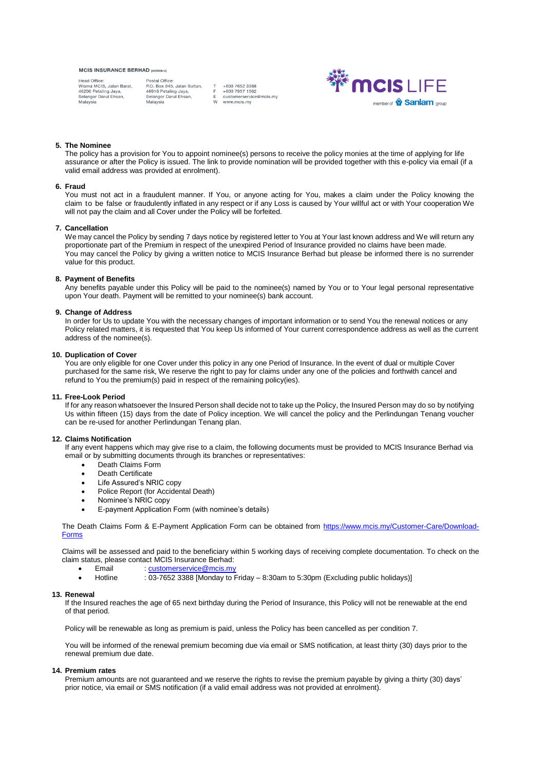Head Office:<br>Wisma MCIS, Jalan Barat, 46200 Petaling Java. Selangor Darul Ehsan, Malaysia

Postal Office:<br>P.O. Box 345, Jalan Sultan,<br>46916 Petaling Jaya, Selangor Darul Ehsan, Malaysia

+603 7652 3388 +603 7957 1562 customerservice@mcis.my  $M$ www.mcis.my



# **5. The Nominee**

The policy has a provision for You to appoint nominee(s) persons to receive the policy monies at the time of applying for life assurance or after the Policy is issued. The link to provide nomination will be provided together with this e-policy via email (if a valid email address was provided at enrolment).

# **6. Fraud**

You must not act in a fraudulent manner. If You, or anyone acting for You, makes a claim under the Policy knowing the claim to be false or fraudulently inflated in any respect or if any Loss is caused by Your willful act or with Your cooperation We will not pay the claim and all Cover under the Policy will be forfeited.

## **7. Cancellation**

We may cancel the Policy by sending 7 days notice by registered letter to You at Your last known address and We will return any proportionate part of the Premium in respect of the unexpired Period of Insurance provided no claims have been made. You may cancel the Policy by giving a written notice to MCIS Insurance Berhad but please be informed there is no surrender value for this product.

## **8. Payment of Benefits**

Any benefits payable under this Policy will be paid to the nominee(s) named by You or to Your legal personal representative upon Your death. Payment will be remitted to your nominee(s) bank account.

## **9. Change of Address**

In order for Us to update You with the necessary changes of important information or to send You the renewal notices or any Policy related matters, it is requested that You keep Us informed of Your current correspondence address as well as the current address of the nominee(s).

## **10. Duplication of Cover**

You are only eligible for one Cover under this policy in any one Period of Insurance. In the event of dual or multiple Cover purchased for the same risk, We reserve the right to pay for claims under any one of the policies and forthwith cancel and refund to You the premium(s) paid in respect of the remaining policy(ies).

# **11. Free-Look Period**

If for any reason whatsoever the Insured Person shall decide not to take up the Policy, the Insured Person may do so by notifying Us within fifteen (15) days from the date of Policy inception. We will cancel the policy and the Perlindungan Tenang voucher can be re-used for another Perlindungan Tenang plan.

# **12. Claims Notification**

If any event happens which may give rise to a claim, the following documents must be provided to MCIS Insurance Berhad via email or by submitting documents through its branches or representatives:

- Death Claims Form
- Death Certificate
- Life Assured's NRIC copy
- Police Report (for Accidental Death)
- Nominee's NRIC copy
- E-payment Application Form (with nominee's details)

The Death Claims Form & E-Payment Application Form can be obtained from [https://www.mcis.my/Customer-Care/Download-](https://www.mcis.my/Customer-Care/Download-Forms)[Forms](https://www.mcis.my/Customer-Care/Download-Forms)

Claims will be assessed and paid to the beneficiary within 5 working days of receiving complete documentation. To check on the claim status, please contact MCIS Insurance Berhad:

- Email : [customerservice@mcis.my](mailto:customerservice@mcis.my)
	- Hotline :  $\overline{03\cdot 7652\,3388}$  [Monday to Friday 8:30am to 5:30pm (Excluding public holidays)]

## **13. Renewal**

If the Insured reaches the age of 65 next birthday during the Period of Insurance, this Policy will not be renewable at the end of that period.

Policy will be renewable as long as premium is paid, unless the Policy has been cancelled as per condition 7.

You will be informed of the renewal premium becoming due via email or SMS notification, at least thirty (30) days prior to the renewal premium due date.

## **14. Premium rates**

Premium amounts are not guaranteed and we reserve the rights to revise the premium payable by giving a thirty (30) days' prior notice, via email or SMS notification (if a valid email address was not provided at enrolment).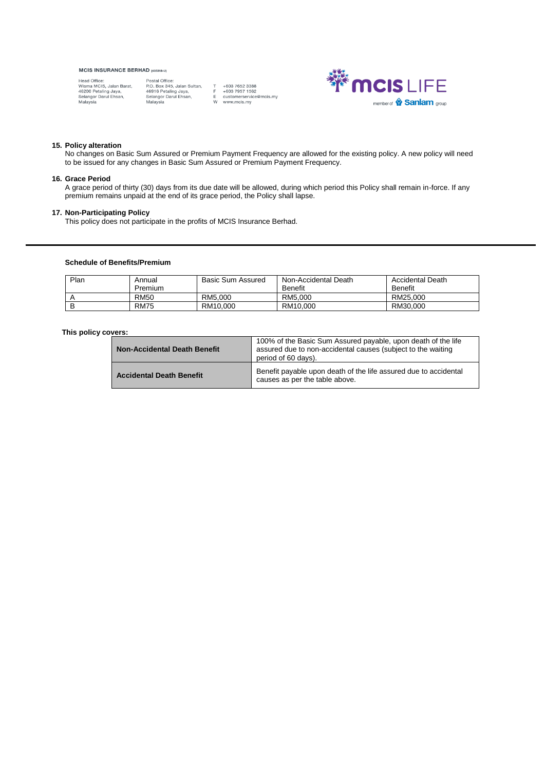| пеач опсе.               |
|--------------------------|
| Wisma MCIS, Jalan Barat, |
| 46200 Petaling Jaya,     |
| Selangor Darul Ehsan,    |
| Malaysia                 |
|                          |



# **15. Policy alteration**

and the main

No changes on Basic Sum Assured or Premium Payment Frequency are allowed for the existing policy. A new policy will need to be issued for any changes in Basic Sum Assured or Premium Payment Frequency.

# **16. Grace Period**

A grace period of thirty (30) days from its due date will be allowed, during which period this Policy shall remain in-force. If any premium remains unpaid at the end of its grace period, the Policy shall lapse.

## **17. Non-Participating Policy**

This policy does not participate in the profits of MCIS Insurance Berhad.

# **Schedule of Benefits/Premium**

| Plan | Annual      | <b>Basic Sum Assured</b> | Non-Accidental Death | <b>Accidental Death</b> |
|------|-------------|--------------------------|----------------------|-------------------------|
|      | Premium     |                          | <b>Benefit</b>       | <b>Benefit</b>          |
|      | <b>RM50</b> | RM5.000                  | RM5.000              | RM25.000                |
| P    | <b>RM75</b> | RM10.000                 | RM10.000             | RM30.000                |

# **This policy covers:**

| <b>Non-Accidental Death Benefit</b> | 100% of the Basic Sum Assured payable, upon death of the life<br>assured due to non-accidental causes (subject to the waiting<br>period of 60 days). |  |  |
|-------------------------------------|------------------------------------------------------------------------------------------------------------------------------------------------------|--|--|
| <b>Accidental Death Benefit</b>     | Benefit payable upon death of the life assured due to accidental<br>causes as per the table above.                                                   |  |  |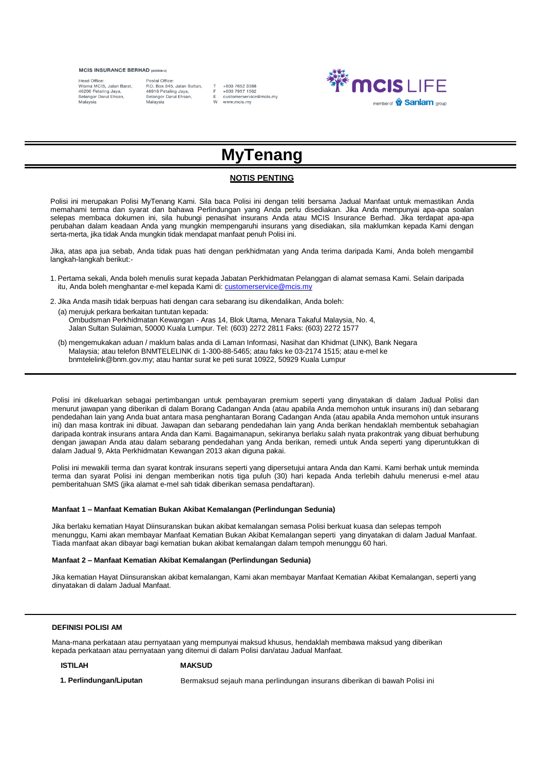Head Office:<br>Wisma MCIS, Jalan Barat, 46200 Petaling Java. Selangor Darul Ehsan, Malaysia

Postal Office:<br>P.O. Box 345, Jalan Sultan,<br>46916 Petaling Jaya, Selangor Darul Ehsan, Malaysia

+603 7652 3388 +603 7957 1562 customerservice@mcis.my  $M$ www.mcis.my



# **MyTenang**

# **NOTIS PENTING**

Polisi ini merupakan Polisi MyTenang Kami. Sila baca Polisi ini dengan teliti bersama Jadual Manfaat untuk memastikan Anda memahami terma dan syarat dan bahawa Perlindungan yang Anda perlu disediakan. Jika Anda mempunyai apa-apa soalan selepas membaca dokumen ini, sila hubungi penasihat insurans Anda atau MCIS Insurance Berhad. Jika terdapat apa-apa perubahan dalam keadaan Anda yang mungkin mempengaruhi insurans yang disediakan, sila maklumkan kepada Kami dengan serta-merta, jika tidak Anda mungkin tidak mendapat manfaat penuh Polisi ini.

Jika, atas apa jua sebab, Anda tidak puas hati dengan perkhidmatan yang Anda terima daripada Kami, Anda boleh mengambil langkah-langkah berikut:-

- 1. Pertama sekali, Anda boleh menulis surat kepada Jabatan Perkhidmatan Pelanggan di alamat semasa Kami. Selain daripada itu, Anda boleh menghantar e-mel kepada Kami di[: customerservice@mcis.my](mailto:customerservice@mcis.my)
- 2. Jika Anda masih tidak berpuas hati dengan cara sebarang isu dikendalikan, Anda boleh: (a) merujuk perkara berkaitan tuntutan kepada: Ombudsman Perkhidmatan Kewangan - Aras 14, Blok Utama, Menara Takaful Malaysia, No. 4, Jalan Sultan Sulaiman, 50000 Kuala Lumpur. Tel: (603) 2272 2811 Faks: (603) 2272 1577
	- (b) mengemukakan aduan / maklum balas anda di Laman Informasi, Nasihat dan Khidmat (LINK), Bank Negara Malaysia; atau telefon BNMTELELINK di 1-300-88-5465; atau faks ke 03-2174 1515; atau e-mel ke bnmtelelink@bnm.gov.my; atau hantar surat ke peti surat 10922, 50929 Kuala Lumpur

Polisi ini dikeluarkan sebagai pertimbangan untuk pembayaran premium seperti yang dinyatakan di dalam Jadual Polisi dan menurut jawapan yang diberikan di dalam Borang Cadangan Anda (atau apabila Anda memohon untuk insurans ini) dan sebarang pendedahan lain yang Anda buat antara masa penghantaran Borang Cadangan Anda (atau apabila Anda memohon untuk insurans ini) dan masa kontrak ini dibuat. Jawapan dan sebarang pendedahan lain yang Anda berikan hendaklah membentuk sebahagian daripada kontrak insurans antara Anda dan Kami. Bagaimanapun, sekiranya berlaku salah nyata prakontrak yang dibuat berhubung dengan jawapan Anda atau dalam sebarang pendedahan yang Anda berikan, remedi untuk Anda seperti yang diperuntukkan di dalam Jadual 9, Akta Perkhidmatan Kewangan 2013 akan diguna pakai.

Polisi ini mewakili terma dan syarat kontrak insurans seperti yang dipersetujui antara Anda dan Kami. Kami berhak untuk meminda terma dan syarat Polisi ini dengan memberikan notis tiga puluh (30) hari kepada Anda terlebih dahulu menerusi e-mel atau pemberitahuan SMS (jika alamat e-mel sah tidak diberikan semasa pendaftaran).

# **Manfaat 1 – Manfaat Kematian Bukan Akibat Kemalangan (Perlindungan Sedunia)**

Jika berlaku kematian Hayat Diinsuranskan bukan akibat kemalangan semasa Polisi berkuat kuasa dan selepas tempoh menunggu, Kami akan membayar Manfaat Kematian Bukan Akibat Kemalangan seperti yang dinyatakan di dalam Jadual Manfaat. Tiada manfaat akan dibayar bagi kematian bukan akibat kemalangan dalam tempoh menunggu 60 hari.

## **Manfaat 2 – Manfaat Kematian Akibat Kemalangan (Perlindungan Sedunia)**

Jika kematian Hayat Diinsuranskan akibat kemalangan, Kami akan membayar Manfaat Kematian Akibat Kemalangan, seperti yang dinyatakan di dalam Jadual Manfaat.

# **DEFINISI POLISI AM**

Mana-mana perkataan atau pernyataan yang mempunyai maksud khusus, hendaklah membawa maksud yang diberikan kepada perkataan atau pernyataan yang ditemui di dalam Polisi dan/atau Jadual Manfaat.

**ISTILAH MAKSUD**

 **1. Perlindungan/Liputan** Bermaksud sejauh mana perlindungan insurans diberikan di bawah Polisi ini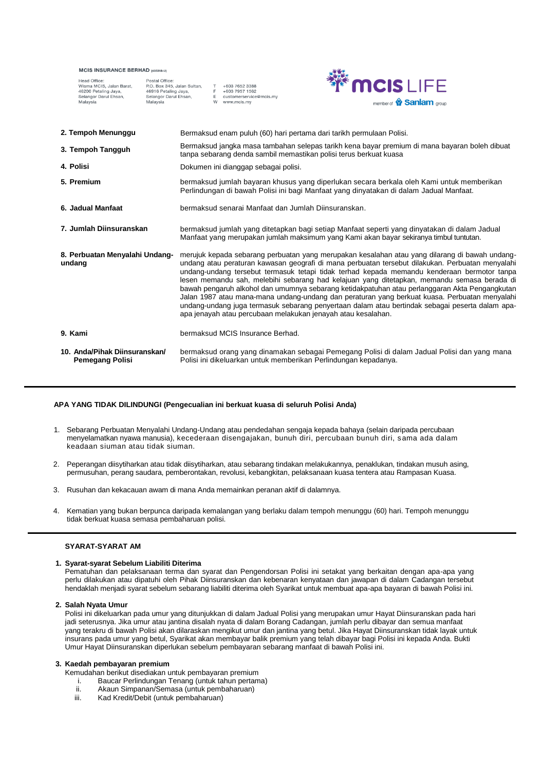Selangor Darul Ehsan,

Malaysia

Head Office:<br>Wisma MCIS, Jalan Barat,<br>46200 Petaling Jaya, Selangor Darul Ehsan, Malaysia

Postal Office:<br>P.O. Box 345, Jalan Sultan,<br>46916 Petaling Jaya, +603 7652 3388 +603 7957 1562 customerservice@mcis.my  $M$ www.mcis.mv



| 2. Tempoh Menunggu                                      | Bermaksud enam puluh (60) hari pertama dari tarikh permulaan Polisi.                                                                                                                                                                                                                                                                                                                                                                                                                                                                                                                                                                                                                                                                                                   |
|---------------------------------------------------------|------------------------------------------------------------------------------------------------------------------------------------------------------------------------------------------------------------------------------------------------------------------------------------------------------------------------------------------------------------------------------------------------------------------------------------------------------------------------------------------------------------------------------------------------------------------------------------------------------------------------------------------------------------------------------------------------------------------------------------------------------------------------|
| 3. Tempoh Tangguh                                       | Bermaksud jangka masa tambahan selepas tarikh kena bayar premium di mana bayaran boleh dibuat<br>tanpa sebarang denda sambil memastikan polisi terus berkuat kuasa                                                                                                                                                                                                                                                                                                                                                                                                                                                                                                                                                                                                     |
| 4. Polisi                                               | Dokumen ini dianggap sebagai polisi.                                                                                                                                                                                                                                                                                                                                                                                                                                                                                                                                                                                                                                                                                                                                   |
| 5. Premium                                              | bermaksud jumlah bayaran khusus yang diperlukan secara berkala oleh Kami untuk memberikan<br>Perlindungan di bawah Polisi ini bagi Manfaat yang dinyatakan di dalam Jadual Manfaat.                                                                                                                                                                                                                                                                                                                                                                                                                                                                                                                                                                                    |
| 6. Jadual Manfaat                                       | bermaksud senarai Manfaat dan Jumlah Diinsuranskan.                                                                                                                                                                                                                                                                                                                                                                                                                                                                                                                                                                                                                                                                                                                    |
| 7. Jumlah Diinsuranskan                                 | bermaksud jumlah yang ditetapkan bagi setiap Manfaat seperti yang dinyatakan di dalam Jadual<br>Manfaat yang merupakan jumlah maksimum yang Kami akan bayar sekiranya timbul tuntutan.                                                                                                                                                                                                                                                                                                                                                                                                                                                                                                                                                                                 |
| 8. Perbuatan Menyalahi Undang-<br>undang                | merujuk kepada sebarang perbuatan yang merupakan kesalahan atau yang dilarang di bawah undang-<br>undang atau peraturan kawasan geografi di mana perbuatan tersebut dilakukan. Perbuatan menyalahi<br>undang-undang tersebut termasuk tetapi tidak terhad kepada memandu kenderaan bermotor tanpa<br>lesen memandu sah, melebihi sebarang had kelajuan yang ditetapkan, memandu semasa berada di<br>bawah pengaruh alkohol dan umumnya sebarang ketidakpatuhan atau perlanggaran Akta Pengangkutan<br>Jalan 1987 atau mana-mana undang-undang dan peraturan yang berkuat kuasa. Perbuatan menyalahi<br>undang-undang juga termasuk sebarang penyertaan dalam atau bertindak sebagai peserta dalam apa-<br>apa jenayah atau percubaan melakukan jenayah atau kesalahan. |
| 9. Kami                                                 | bermaksud MCIS Insurance Berhad.                                                                                                                                                                                                                                                                                                                                                                                                                                                                                                                                                                                                                                                                                                                                       |
| 10. Anda/Pihak Diinsuranskan/<br><b>Pemegang Polisi</b> | bermaksud orang yang dinamakan sebagai Pemegang Polisi di dalam Jadual Polisi dan yang mana<br>Polisi ini dikeluarkan untuk memberikan Perlindungan kepadanya.                                                                                                                                                                                                                                                                                                                                                                                                                                                                                                                                                                                                         |

## **APA YANG TIDAK DILINDUNGI (Pengecualian ini berkuat kuasa di seluruh Polisi Anda)**

- 1. Sebarang Perbuatan Menyalahi Undang-Undang atau pendedahan sengaja kepada bahaya (selain daripada percubaan menyelamatkan nyawa manusia), kecederaan disengajakan, bunuh diri, percubaan bunuh diri, sama ada dalam keadaan siuman atau tidak siuman.
- 2. Peperangan diisytiharkan atau tidak diisytiharkan, atau sebarang tindakan melakukannya, penaklukan, tindakan musuh asing, permusuhan, perang saudara, pemberontakan, revolusi, kebangkitan, pelaksanaan kuasa tentera atau Rampasan Kuasa.
- 3. Rusuhan dan kekacauan awam di mana Anda memainkan peranan aktif di dalamnya.
- 4. Kematian yang bukan berpunca daripada kemalangan yang berlaku dalam tempoh menunggu (60) hari. Tempoh menunggu tidak berkuat kuasa semasa pembaharuan polisi.

# **SYARAT-SYARAT AM**

# **1. Syarat-syarat Sebelum Liabiliti Diterima**

Pematuhan dan pelaksanaan terma dan syarat dan Pengendorsan Polisi ini setakat yang berkaitan dengan apa-apa yang perlu dilakukan atau dipatuhi oleh Pihak Diinsuranskan dan kebenaran kenyataan dan jawapan di dalam Cadangan tersebut hendaklah menjadi syarat sebelum sebarang liabiliti diterima oleh Syarikat untuk membuat apa-apa bayaran di bawah Polisi ini.

## **2. Salah Nyata Umur**

Polisi ini dikeluarkan pada umur yang ditunjukkan di dalam Jadual Polisi yang merupakan umur Hayat Diinsuranskan pada hari jadi seterusnya. Jika umur atau jantina disalah nyata di dalam Borang Cadangan, jumlah perlu dibayar dan semua manfaat yang terakru di bawah Polisi akan dilaraskan mengikut umur dan jantina yang betul. Jika Hayat Diinsuranskan tidak layak untuk insurans pada umur yang betul, Syarikat akan membayar balik premium yang telah dibayar bagi Polisi ini kepada Anda. Bukti Umur Hayat Diinsuranskan diperlukan sebelum pembayaran sebarang manfaat di bawah Polisi ini.

# **3. Kaedah pembayaran premium**

Kemudahan berikut disediakan untuk pembayaran premium

- i. Baucar Perlindungan Tenang (untuk tahun pertama)
- ii. Akaun Simpanan/Semasa (untuk pembaharuan)<br>iii. Kad Kredit/Debit (untuk pembaharuan)
- Kad Kredit/Debit (untuk pembaharuan)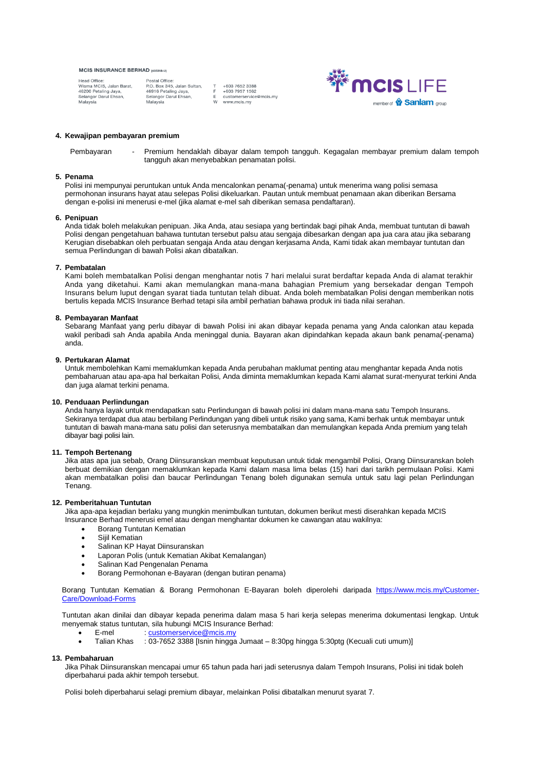Postal Office:<br>P.O. Box 345, Jalan Sultan,<br>46916 Petaling Jaya, Head Office:<br>Wisma MCIS, Jalan Barat, 46200 Petaling Java. Selangor Darul Ehsan, Selangor Darul Ehsan, Malaysia Malaysia

+603 7652 3388 +603 7957 1562 customerservice@mcis.my  $M$ www.mcis.my



# **4. Kewajipan pembayaran premium**

Pembayaran - Premium hendaklah dibayar dalam tempoh tangguh. Kegagalan membayar premium dalam tempoh tangguh akan menyebabkan penamatan polisi.

# **5. Penama**

Polisi ini mempunyai peruntukan untuk Anda mencalonkan penama(-penama) untuk menerima wang polisi semasa permohonan insurans hayat atau selepas Polisi dikeluarkan. Pautan untuk membuat penamaan akan diberikan Bersama dengan e-polisi ini menerusi e-mel (jika alamat e-mel sah diberikan semasa pendaftaran).

## **6. Penipuan**

Anda tidak boleh melakukan penipuan. Jika Anda, atau sesiapa yang bertindak bagi pihak Anda, membuat tuntutan di bawah Polisi dengan pengetahuan bahawa tuntutan tersebut palsu atau sengaja dibesarkan dengan apa jua cara atau jika sebarang Kerugian disebabkan oleh perbuatan sengaja Anda atau dengan kerjasama Anda, Kami tidak akan membayar tuntutan dan semua Perlindungan di bawah Polisi akan dibatalkan.

## **7. Pembatalan**

Kami boleh membatalkan Polisi dengan menghantar notis 7 hari melalui surat berdaftar kepada Anda di alamat terakhir Anda yang diketahui. Kami akan memulangkan mana-mana bahagian Premium yang bersekadar dengan Tempoh Insurans belum luput dengan syarat tiada tuntutan telah dibuat. Anda boleh membatalkan Polisi dengan memberikan notis bertulis kepada MCIS Insurance Berhad tetapi sila ambil perhatian bahawa produk ini tiada nilai serahan.

## **8. Pembayaran Manfaat**

Sebarang Manfaat yang perlu dibayar di bawah Polisi ini akan dibayar kepada penama yang Anda calonkan atau kepada wakil peribadi sah Anda apabila Anda meninggal dunia. Bayaran akan dipindahkan kepada akaun bank penama(-penama) anda.

## **9. Pertukaran Alamat**

Untuk membolehkan Kami memaklumkan kepada Anda perubahan maklumat penting atau menghantar kepada Anda notis pembaharuan atau apa-apa hal berkaitan Polisi, Anda diminta memaklumkan kepada Kami alamat surat-menyurat terkini Anda dan juga alamat terkini penama.

## **10. Penduaan Perlindungan**

Anda hanya layak untuk mendapatkan satu Perlindungan di bawah polisi ini dalam mana-mana satu Tempoh Insurans. Sekiranya terdapat dua atau berbilang Perlindungan yang dibeli untuk risiko yang sama, Kami berhak untuk membayar untuk tuntutan di bawah mana-mana satu polisi dan seterusnya membatalkan dan memulangkan kepada Anda premium yang telah dibayar bagi polisi lain.

# **11. Tempoh Bertenang**

Jika atas apa jua sebab, Orang Diinsuranskan membuat keputusan untuk tidak mengambil Polisi, Orang Diinsuranskan boleh berbuat demikian dengan memaklumkan kepada Kami dalam masa lima belas (15) hari dari tarikh permulaan Polisi. Kami akan membatalkan polisi dan baucar Perlindungan Tenang boleh digunakan semula untuk satu lagi pelan Perlindungan Tenang.

# **12. Pemberitahuan Tuntutan**

Jika apa-apa kejadian berlaku yang mungkin menimbulkan tuntutan, dokumen berikut mesti diserahkan kepada MCIS Insurance Berhad menerusi emel atau dengan menghantar dokumen ke cawangan atau wakilnya:

- Borang Tuntutan Kematian
- Sijil Kematian
- Salinan KP Hayat Diinsuranskan
- Laporan Polis (untuk Kematian Akibat Kemalangan)
- Salinan Kad Pengenalan Penama
- Borang Permohonan e-Bayaran (dengan butiran penama)

Borang Tuntutan Kematian & Borang Permohonan E-Bayaran boleh diperolehi daripada [https://www.mcis.my/Customer-](https://www.mcis.my/Customer-Care/Download-Forms)[Care/Download-Forms](https://www.mcis.my/Customer-Care/Download-Forms)

Tuntutan akan dinilai dan dibayar kepada penerima dalam masa 5 hari kerja selepas menerima dokumentasi lengkap. Untuk menyemak status tuntutan, sila hubungi MCIS Insurance Berhad:

- E-mel : [customerservice@mcis.my](mailto:customerservice@mcis.my)
- Talian Khas : 03-7652 3388 [Isnin hingga Jumaat 8:30pg hingga 5:30ptg (Kecuali cuti umum)]

# **13. Pembaharuan**

Jika Pihak Diinsuranskan mencapai umur 65 tahun pada hari jadi seterusnya dalam Tempoh Insurans, Polisi ini tidak boleh diperbaharui pada akhir tempoh tersebut.

Polisi boleh diperbaharui selagi premium dibayar, melainkan Polisi dibatalkan menurut syarat 7.